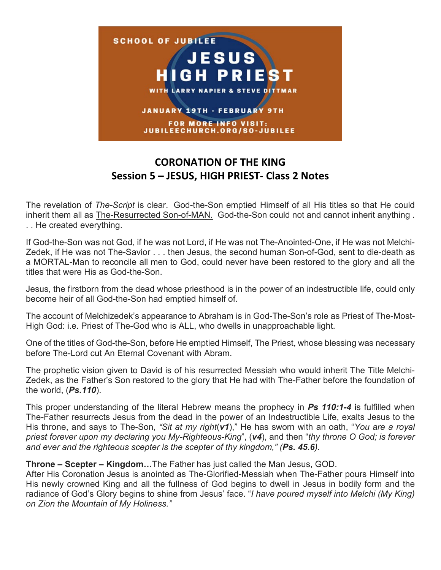

## **CORONATION OF THE KING Session 5 – JESUS, HIGH PRIEST- Class 2 Notes**

The revelation of *The-Script* is clear. God-the-Son emptied Himself of all His titles so that He could inherit them all as The-Resurrected Son-of-MAN. God-the-Son could not and cannot inherit anything . . . He created everything.

If God-the-Son was not God, if he was not Lord, if He was not The-Anointed-One, if He was not Melchi-Zedek, if He was not The-Savior . . . then Jesus, the second human Son-of-God, sent to die-death as a MORTAL-Man to reconcile all men to God, could never have been restored to the glory and all the titles that were His as God-the-Son.

Jesus, the firstborn from the dead whose priesthood is in the power of an indestructible life, could only become heir of all God-the-Son had emptied himself of.

The account of Melchizedek's appearance to Abraham is in God-The-Son's role as Priest of The-Most-High God: i.e. Priest of The-God who is ALL, who dwells in unapproachable light.

One of the titles of God-the-Son, before He emptied Himself, The Priest, whose blessing was necessary before The-Lord cut An Eternal Covenant with Abram.

The prophetic vision given to David is of his resurrected Messiah who would inherit The Title Melchi-Zedek, as the Father's Son restored to the glory that He had with The-Father before the foundation of the world, (*Ps.110*).

This proper understanding of the literal Hebrew means the prophecy in *Ps 110:1-4* is fulfilled when The-Father resurrects Jesus from the dead in the power of an Indestructible Life, exalts Jesus to the His throne, and says to The-Son, *"Sit at my right*(*v1*)," He has sworn with an oath, "*You are a royal priest forever upon my declaring you My-Righteous-King*", (*v4*), and then "*thy throne O God; is forever and ever and the righteous scepter is the scepter of thy kingdom," (Ps. 45.6).*

## **Throne – Scepter – Kingdom…**The Father has just called the Man Jesus, GOD.

After His Coronation Jesus is anointed as The-Glorified-Messiah when The-Father pours Himself into His newly crowned King and all the fullness of God begins to dwell in Jesus in bodily form and the radiance of God's Glory begins to shine from Jesus' face. "*I have poured myself into Melchi (My King) on Zion the Mountain of My Holiness."*